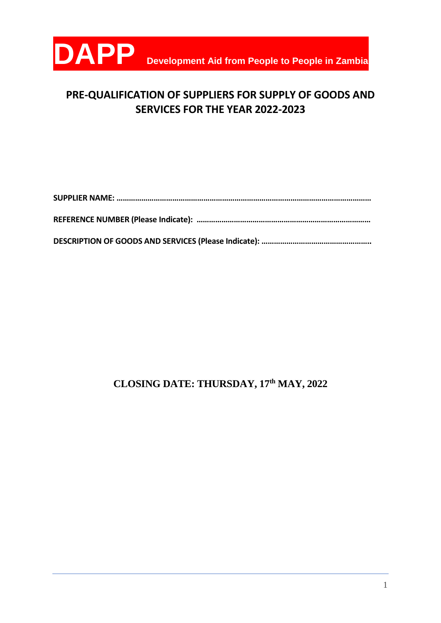

# **PRE-QUALIFICATION OF SUPPLIERS FOR SUPPLY OF GOODS AND SERVICES FOR THE YEAR 2022-2023**

**DESCRIPTION OF GOODS AND SERVICES (Please Indicate): ……………………………………………..**

# **CLOSING DATE: THURSDAY, 17th MAY, 2022**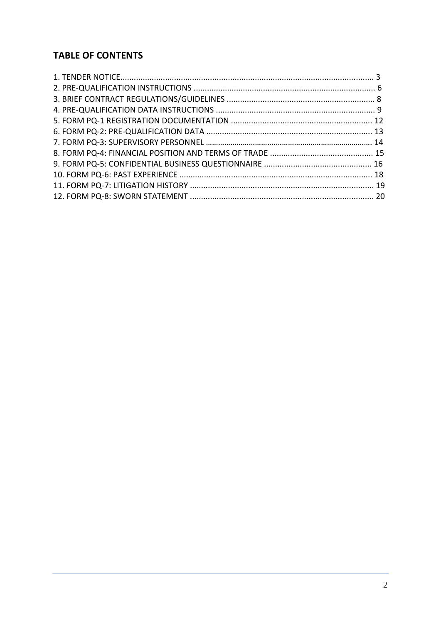# **TABLE OF CONTENTS**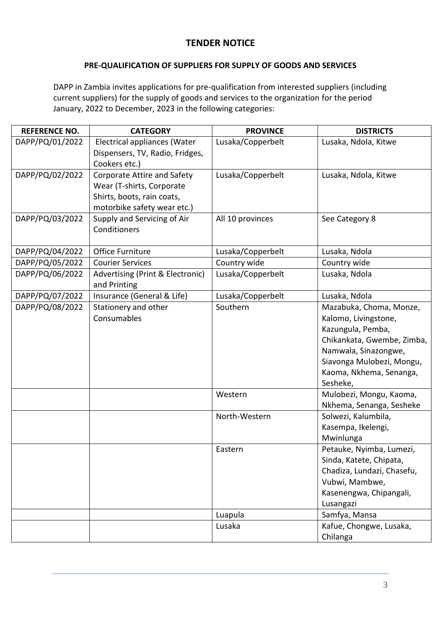# **TENDER NOTICE**

# **PRE-QUALIFICATION OF SUPPLIERS FOR SUPPLY OF GOODS AND SERVICES**

DAPP in Zambia invites applications for pre-qualification from interested suppliers (including current suppliers) for the supply of goods and services to the organization for the period January, 2022 to December, 2023 in the following categories:

| <b>REFERENCE NO.</b> | <b>CATEGORY</b>                                                                                                       | <b>PROVINCE</b>   | <b>DISTRICTS</b>                                                                                                                                                                               |
|----------------------|-----------------------------------------------------------------------------------------------------------------------|-------------------|------------------------------------------------------------------------------------------------------------------------------------------------------------------------------------------------|
| DAPP/PQ/01/2022      | Electrical appliances (Water<br>Dispensers, TV, Radio, Fridges,<br>Cookers etc.)                                      | Lusaka/Copperbelt | Lusaka, Ndola, Kitwe                                                                                                                                                                           |
| DAPP/PQ/02/2022      | Corporate Attire and Safety<br>Wear (T-shirts, Corporate<br>Shirts, boots, rain coats,<br>motorbike safety wear etc.) | Lusaka/Copperbelt | Lusaka, Ndola, Kitwe                                                                                                                                                                           |
| DAPP/PQ/03/2022      | Supply and Servicing of Air<br>Conditioners                                                                           | All 10 provinces  | See Category 8                                                                                                                                                                                 |
| DAPP/PQ/04/2022      | Office Furniture                                                                                                      | Lusaka/Copperbelt | Lusaka, Ndola                                                                                                                                                                                  |
| DAPP/PQ/05/2022      | <b>Courier Services</b>                                                                                               | Country wide      | Country wide                                                                                                                                                                                   |
| DAPP/PQ/06/2022      | Advertising (Print & Electronic)<br>and Printing                                                                      | Lusaka/Copperbelt | Lusaka, Ndola                                                                                                                                                                                  |
| DAPP/PQ/07/2022      | Insurance (General & Life)                                                                                            | Lusaka/Copperbelt | Lusaka, Ndola                                                                                                                                                                                  |
| DAPP/PQ/08/2022      | Stationery and other<br>Consumables                                                                                   | Southern          | Mazabuka, Choma, Monze,<br>Kalomo, Livingstone,<br>Kazungula, Pemba,<br>Chikankata, Gwembe, Zimba,<br>Namwala, Sinazongwe,<br>Siavonga Mulobezi, Mongu,<br>Kaoma, Nkhema, Senanga,<br>Sesheke, |
|                      |                                                                                                                       | Western           | Mulobezi, Mongu, Kaoma,<br>Nkhema, Senanga, Sesheke                                                                                                                                            |
|                      |                                                                                                                       | North-Western     | Solwezi, Kalumbila,<br>Kasempa, Ikelengi,<br>Mwinlunga                                                                                                                                         |
|                      |                                                                                                                       | Eastern           | Petauke, Nyimba, Lumezi,<br>Sinda, Katete, Chipata,<br>Chadiza, Lundazi, Chasefu,<br>Vubwi, Mambwe,<br>Kasenengwa, Chipangali,<br>Lusangazi                                                    |
|                      |                                                                                                                       | Luapula           | Samfya, Mansa                                                                                                                                                                                  |
|                      |                                                                                                                       | Lusaka            | Kafue, Chongwe, Lusaka,<br>Chilanga                                                                                                                                                            |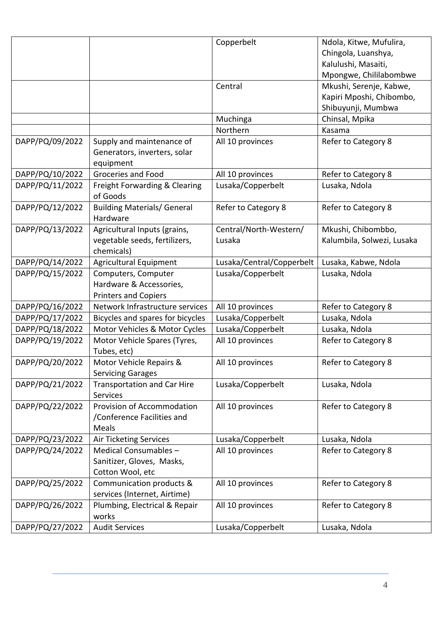|                 |                                                                        | Copperbelt                | Ndola, Kitwe, Mufulira,    |
|-----------------|------------------------------------------------------------------------|---------------------------|----------------------------|
|                 |                                                                        |                           | Chingola, Luanshya,        |
|                 |                                                                        |                           | Kalulushi, Masaiti,        |
|                 |                                                                        |                           | Mpongwe, Chililabombwe     |
|                 |                                                                        | Central                   | Mkushi, Serenje, Kabwe,    |
|                 |                                                                        |                           | Kapiri Mposhi, Chibombo,   |
|                 |                                                                        |                           | Shibuyunji, Mumbwa         |
|                 |                                                                        | Muchinga                  | Chinsal, Mpika             |
|                 |                                                                        | Northern                  | Kasama                     |
| DAPP/PQ/09/2022 | Supply and maintenance of<br>Generators, inverters, solar<br>equipment | All 10 provinces          | Refer to Category 8        |
| DAPP/PQ/10/2022 | Groceries and Food                                                     | All 10 provinces          | Refer to Category 8        |
| DAPP/PQ/11/2022 | Freight Forwarding & Clearing<br>of Goods                              | Lusaka/Copperbelt         | Lusaka, Ndola              |
| DAPP/PQ/12/2022 | <b>Building Materials/ General</b><br>Hardware                         | Refer to Category 8       | Refer to Category 8        |
| DAPP/PQ/13/2022 | Agricultural Inputs (grains,                                           | Central/North-Western/    | Mkushi, Chibombbo,         |
|                 | vegetable seeds, fertilizers,                                          | Lusaka                    | Kalumbila, Solwezi, Lusaka |
|                 | chemicals)                                                             |                           |                            |
| DAPP/PQ/14/2022 | <b>Agricultural Equipment</b>                                          | Lusaka/Central/Copperbelt | Lusaka, Kabwe, Ndola       |
| DAPP/PQ/15/2022 | Computers, Computer                                                    | Lusaka/Copperbelt         | Lusaka, Ndola              |
|                 | Hardware & Accessories,                                                |                           |                            |
|                 | <b>Printers and Copiers</b>                                            |                           |                            |
| DAPP/PQ/16/2022 | Network Infrastructure services                                        | All 10 provinces          | Refer to Category 8        |
| DAPP/PQ/17/2022 | Bicycles and spares for bicycles                                       | Lusaka/Copperbelt         | Lusaka, Ndola              |
| DAPP/PQ/18/2022 | Motor Vehicles & Motor Cycles                                          | Lusaka/Copperbelt         | Lusaka, Ndola              |
| DAPP/PQ/19/2022 | Motor Vehicle Spares (Tyres,<br>Tubes, etc)                            | All 10 provinces          | Refer to Category 8        |
| DAPP/PQ/20/2022 | Motor Vehicle Repairs &                                                | All 10 provinces          | Refer to Category 8        |
|                 | <b>Servicing Garages</b>                                               |                           |                            |
| DAPP/PQ/21/2022 | <b>Transportation and Car Hire</b>                                     | Lusaka/Copperbelt         | Lusaka, Ndola              |
|                 | <b>Services</b>                                                        |                           |                            |
| DAPP/PQ/22/2022 | Provision of Accommodation                                             | All 10 provinces          | Refer to Category 8        |
|                 | /Conference Facilities and                                             |                           |                            |
|                 | Meals                                                                  |                           |                            |
| DAPP/PQ/23/2022 | <b>Air Ticketing Services</b>                                          | Lusaka/Copperbelt         | Lusaka, Ndola              |
| DAPP/PQ/24/2022 | Medical Consumables-                                                   | All 10 provinces          | Refer to Category 8        |
|                 | Sanitizer, Gloves, Masks,                                              |                           |                            |
|                 | Cotton Wool, etc                                                       |                           |                            |
| DAPP/PQ/25/2022 | Communication products &                                               | All 10 provinces          | Refer to Category 8        |
|                 | services (Internet, Airtime)                                           |                           |                            |
| DAPP/PQ/26/2022 | Plumbing, Electrical & Repair                                          | All 10 provinces          | Refer to Category 8        |
|                 | works                                                                  |                           |                            |
| DAPP/PQ/27/2022 | <b>Audit Services</b>                                                  | Lusaka/Copperbelt         | Lusaka, Ndola              |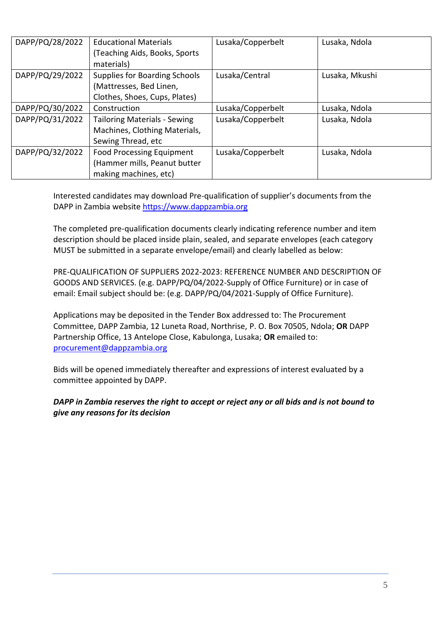| DAPP/PQ/28/2022 | <b>Educational Materials</b>         | Lusaka/Copperbelt | Lusaka, Ndola  |
|-----------------|--------------------------------------|-------------------|----------------|
|                 | (Teaching Aids, Books, Sports)       |                   |                |
|                 | materials)                           |                   |                |
| DAPP/PQ/29/2022 | <b>Supplies for Boarding Schools</b> | Lusaka/Central    | Lusaka, Mkushi |
|                 | (Mattresses, Bed Linen,              |                   |                |
|                 | Clothes, Shoes, Cups, Plates)        |                   |                |
| DAPP/PQ/30/2022 | Construction                         | Lusaka/Copperbelt | Lusaka, Ndola  |
| DAPP/PQ/31/2022 | <b>Tailoring Materials - Sewing</b>  | Lusaka/Copperbelt | Lusaka, Ndola  |
|                 | Machines, Clothing Materials,        |                   |                |
|                 | Sewing Thread, etc                   |                   |                |
| DAPP/PQ/32/2022 | <b>Food Processing Equipment</b>     | Lusaka/Copperbelt | Lusaka, Ndola  |
|                 | (Hammer mills, Peanut butter         |                   |                |
|                 | making machines, etc)                |                   |                |

Interested candidates may download Pre-qualification of supplier's documents from the DAPP in Zambia websit[e https://www.dappzambia.org](https://www.dappzambia.org/)

The completed pre-qualification documents clearly indicating reference number and item description should be placed inside plain, sealed, and separate envelopes (each category MUST be submitted in a separate envelope/email) and clearly labelled as below:

PRE-QUALIFICATION OF SUPPLIERS 2022-2023: REFERENCE NUMBER AND DESCRIPTION OF GOODS AND SERVICES. (e.g. DAPP/PQ/04/2022-Supply of Office Furniture) or in case of email: Email subject should be: (e.g. DAPP/PQ/04/2021-Supply of Office Furniture).

Applications may be deposited in the Tender Box addressed to: The Procurement Committee, DAPP Zambia, 12 Luneta Road, Northrise, P. O. Box 70505, Ndola; **OR** DAPP Partnership Office, 13 Antelope Close, Kabulonga, Lusaka; **OR** emailed to: [procurement@dappzambia.org](mailto:procurement@dappzambia.org)

Bids will be opened immediately thereafter and expressions of interest evaluated by a committee appointed by DAPP.

# *DAPP in Zambia reserves the right to accept or reject any or all bids and is not bound to give any reasons for its decision*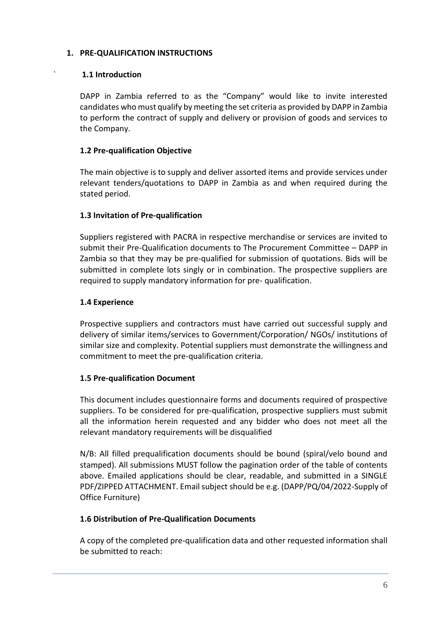# **1. PRE-QUALIFICATION INSTRUCTIONS**

#### ` **1.1 Introduction**

DAPP in Zambia referred to as the "Company" would like to invite interested candidates who must qualify by meeting the set criteria as provided by DAPP in Zambia to perform the contract of supply and delivery or provision of goods and services to the Company.

## **1.2 Pre-qualification Objective**

The main objective is to supply and deliver assorted items and provide services under relevant tenders/quotations to DAPP in Zambia as and when required during the stated period.

#### **1.3 Invitation of Pre-qualification**

Suppliers registered with PACRA in respective merchandise or services are invited to submit their Pre-Qualification documents to The Procurement Committee – DAPP in Zambia so that they may be pre-qualified for submission of quotations. Bids will be submitted in complete lots singly or in combination. The prospective suppliers are required to supply mandatory information for pre- qualification.

#### **1.4 Experience**

Prospective suppliers and contractors must have carried out successful supply and delivery of similar items/services to Government/Corporation/ NGOs/ institutions of similar size and complexity. Potential suppliers must demonstrate the willingness and commitment to meet the pre-qualification criteria.

#### **1.5 Pre-qualification Document**

This document includes questionnaire forms and documents required of prospective suppliers. To be considered for pre-qualification, prospective suppliers must submit all the information herein requested and any bidder who does not meet all the relevant mandatory requirements will be disqualified

N/B: All filled prequalification documents should be bound (spiral/velo bound and stamped). All submissions MUST follow the pagination order of the table of contents above. Emailed applications should be clear, readable, and submitted in a SINGLE PDF/ZIPPED ATTACHMENT. Email subject should be e.g. (DAPP/PQ/04/2022-Supply of Office Furniture)

# **1.6 Distribution of Pre-Qualification Documents**

A copy of the completed pre-qualification data and other requested information shall be submitted to reach: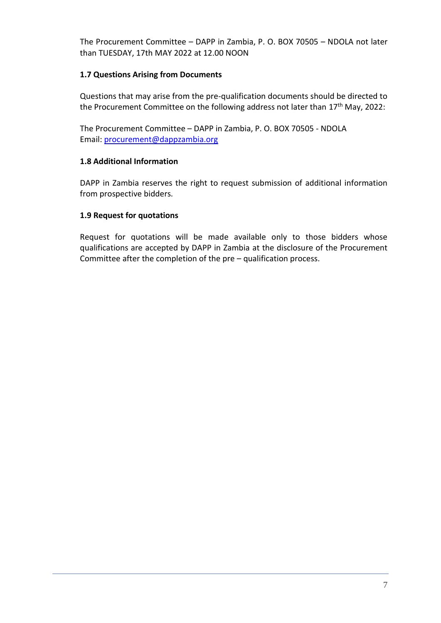The Procurement Committee – DAPP in Zambia, P. O. BOX 70505 – NDOLA not later than TUESDAY, 17th MAY 2022 at 12.00 NOON

# **1.7 Questions Arising from Documents**

Questions that may arise from the pre-qualification documents should be directed to the Procurement Committee on the following address not later than 17<sup>th</sup> May, 2022:

The Procurement Committee – DAPP in Zambia, P. O. BOX 70505 - NDOLA Email: [procurement@dappzambia.org](mailto:procurement@dappzambia.org)

# **1.8 Additional Information**

DAPP in Zambia reserves the right to request submission of additional information from prospective bidders.

# **1.9 Request for quotations**

Request for quotations will be made available only to those bidders whose qualifications are accepted by DAPP in Zambia at the disclosure of the Procurement Committee after the completion of the pre – qualification process.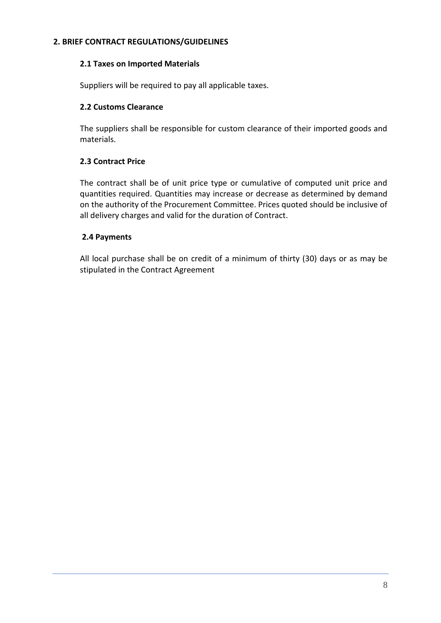## **2. BRIEF CONTRACT REGULATIONS/GUIDELINES**

#### **2.1 Taxes on Imported Materials**

Suppliers will be required to pay all applicable taxes.

## **2.2 Customs Clearance**

The suppliers shall be responsible for custom clearance of their imported goods and materials.

# **2.3 Contract Price**

The contract shall be of unit price type or cumulative of computed unit price and quantities required. Quantities may increase or decrease as determined by demand on the authority of the Procurement Committee. Prices quoted should be inclusive of all delivery charges and valid for the duration of Contract.

#### **2.4 Payments**

All local purchase shall be on credit of a minimum of thirty (30) days or as may be stipulated in the Contract Agreement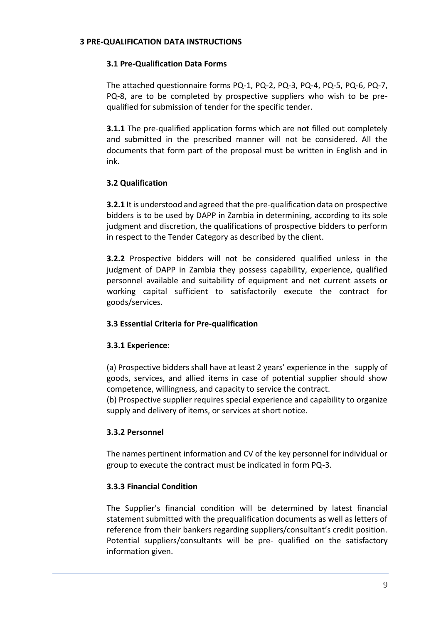#### **3 PRE-QUALIFICATION DATA INSTRUCTIONS**

# **3.1 Pre-Qualification Data Forms**

The attached questionnaire forms PQ-1, PQ-2, PQ-3, PQ-4, PQ-5, PQ-6, PQ-7, PQ-8, are to be completed by prospective suppliers who wish to be prequalified for submission of tender for the specific tender.

**3.1.1** The pre-qualified application forms which are not filled out completely and submitted in the prescribed manner will not be considered. All the documents that form part of the proposal must be written in English and in ink.

# **3.2 Qualification**

**3.2.1** It is understood and agreed that the pre-qualification data on prospective bidders is to be used by DAPP in Zambia in determining, according to its sole judgment and discretion, the qualifications of prospective bidders to perform in respect to the Tender Category as described by the client.

**3.2.2** Prospective bidders will not be considered qualified unless in the judgment of DAPP in Zambia they possess capability, experience, qualified personnel available and suitability of equipment and net current assets or working capital sufficient to satisfactorily execute the contract for goods/services.

# **3.3 Essential Criteria for Pre-qualification**

# **3.3.1 Experience:**

(a) Prospective bidders shall have at least 2 years' experience in the supply of goods, services, and allied items in case of potential supplier should show competence, willingness, and capacity to service the contract.

(b) Prospective supplier requires special experience and capability to organize supply and delivery of items, or services at short notice.

# **3.3.2 Personnel**

The names pertinent information and CV of the key personnel for individual or group to execute the contract must be indicated in form PQ-3.

# **3.3.3 Financial Condition**

The Supplier's financial condition will be determined by latest financial statement submitted with the prequalification documents as well as letters of reference from their bankers regarding suppliers/consultant's credit position. Potential suppliers/consultants will be pre- qualified on the satisfactory information given.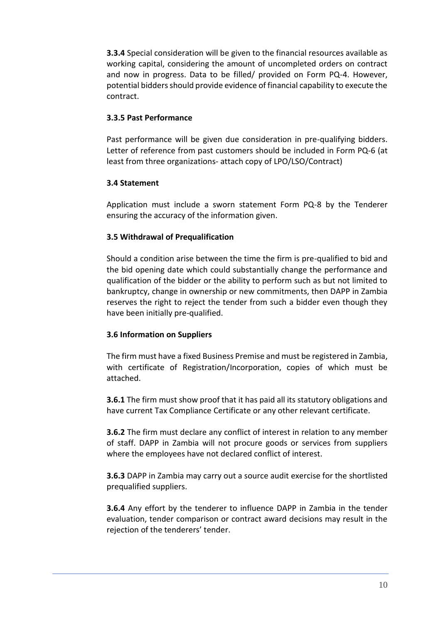**3.3.4** Special consideration will be given to the financial resources available as working capital, considering the amount of uncompleted orders on contract and now in progress. Data to be filled/ provided on Form PQ-4. However, potential bidders should provide evidence of financial capability to execute the contract.

#### **3.3.5 Past Performance**

Past performance will be given due consideration in pre-qualifying bidders. Letter of reference from past customers should be included in Form PQ-6 (at least from three organizations- attach copy of LPO/LSO/Contract)

# **3.4 Statement**

Application must include a sworn statement Form PQ-8 by the Tenderer ensuring the accuracy of the information given.

# **3.5 Withdrawal of Prequalification**

Should a condition arise between the time the firm is pre-qualified to bid and the bid opening date which could substantially change the performance and qualification of the bidder or the ability to perform such as but not limited to bankruptcy, change in ownership or new commitments, then DAPP in Zambia reserves the right to reject the tender from such a bidder even though they have been initially pre-qualified.

# **3.6 Information on Suppliers**

The firm must have a fixed Business Premise and must be registered in Zambia, with certificate of Registration/Incorporation, copies of which must be attached.

**3.6.1** The firm must show proof that it has paid all its statutory obligations and have current Tax Compliance Certificate or any other relevant certificate.

**3.6.2** The firm must declare any conflict of interest in relation to any member of staff. DAPP in Zambia will not procure goods or services from suppliers where the employees have not declared conflict of interest.

**3.6.3** DAPP in Zambia may carry out a source audit exercise for the shortlisted prequalified suppliers.

**3.6.4** Any effort by the tenderer to influence DAPP in Zambia in the tender evaluation, tender comparison or contract award decisions may result in the rejection of the tenderers' tender.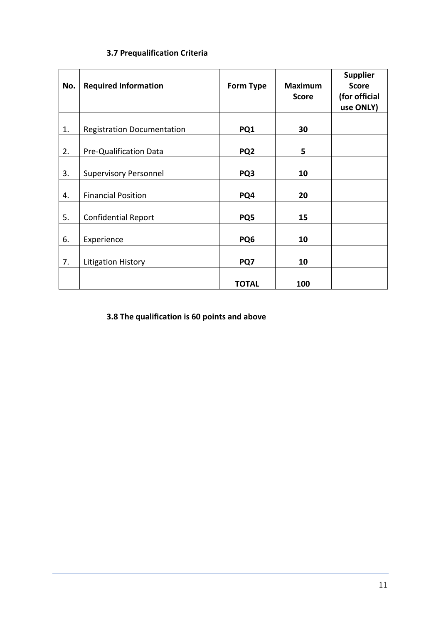# **3.7 Prequalification Criteria**

| No. | <b>Required Information</b>       | <b>Form Type</b> | <b>Maximum</b><br><b>Score</b> | <b>Supplier</b><br><b>Score</b><br>(for official<br>use ONLY) |
|-----|-----------------------------------|------------------|--------------------------------|---------------------------------------------------------------|
| 1.  | <b>Registration Documentation</b> | PQ1              | 30                             |                                                               |
| 2.  | Pre-Qualification Data            | PQ <sub>2</sub>  | 5                              |                                                               |
| 3.  | <b>Supervisory Personnel</b>      | PQ3              | 10                             |                                                               |
| 4.  | <b>Financial Position</b>         | PQ4              | 20                             |                                                               |
| 5.  | <b>Confidential Report</b>        | PQ5              | 15                             |                                                               |
| 6.  | Experience                        | PQ <sub>6</sub>  | 10                             |                                                               |
| 7.  | <b>Litigation History</b>         | PQ7              | 10                             |                                                               |
|     |                                   | TOTAL            | 100                            |                                                               |

**3.8 The qualification is 60 points and above**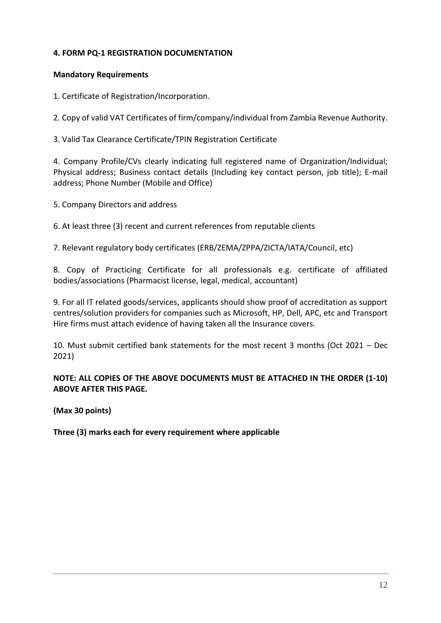# **4. FORM PQ-1 REGISTRATION DOCUMENTATION**

## **Mandatory Requirements**

1. Certificate of Registration/Incorporation.

2. Copy of valid VAT Certificates of firm/company/individual from Zambia Revenue Authority.

3. Valid Tax Clearance Certificate/TPIN Registration Certificate

4. Company Profile/CVs clearly indicating full registered name of Organization/Individual; Physical address; Business contact details (Including key contact person, job title); E-mail address; Phone Number (Mobile and Office)

5. Company Directors and address

6. At least three (3) recent and current references from reputable clients

7. Relevant regulatory body certificates (ERB/ZEMA/ZPPA/ZICTA/IATA/Council, etc)

8. Copy of Practicing Certificate for all professionals e.g. certificate of affiliated bodies/associations (Pharmacist license, legal, medical, accountant)

9. For all IT related goods/services, applicants should show proof of accreditation as support centres/solution providers for companies such as Microsoft, HP, Dell, APC, etc and Transport Hire firms must attach evidence of having taken all the Insurance covers.

10. Must submit certified bank statements for the most recent 3 months (Oct 2021 – Dec 2021)

**NOTE: ALL COPIES OF THE ABOVE DOCUMENTS MUST BE ATTACHED IN THE ORDER (1-10) ABOVE AFTER THIS PAGE.** 

**(Max 30 points)** 

**Three (3) marks each for every requirement where applicable**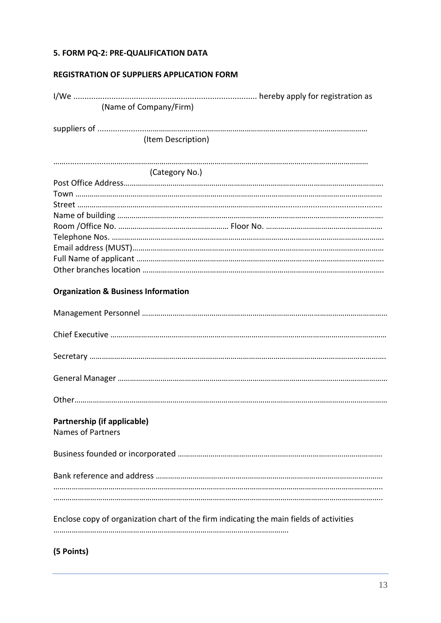# **5. FORM PQ-2: PRE-QUALIFICATION DATA**

# **REGISTRATION OF SUPPLIERS APPLICATION FORM**

| (Name of Company/Firm)                                  |                                                                                         |
|---------------------------------------------------------|-----------------------------------------------------------------------------------------|
|                                                         |                                                                                         |
| (Item Description)                                      |                                                                                         |
|                                                         |                                                                                         |
| (Category No.)                                          |                                                                                         |
|                                                         |                                                                                         |
|                                                         |                                                                                         |
|                                                         |                                                                                         |
|                                                         |                                                                                         |
|                                                         |                                                                                         |
|                                                         |                                                                                         |
|                                                         |                                                                                         |
|                                                         |                                                                                         |
|                                                         |                                                                                         |
| <b>Organization &amp; Business Information</b>          |                                                                                         |
|                                                         |                                                                                         |
|                                                         |                                                                                         |
|                                                         |                                                                                         |
|                                                         |                                                                                         |
|                                                         |                                                                                         |
| Partnership (if applicable)<br><b>Names of Partners</b> |                                                                                         |
|                                                         |                                                                                         |
|                                                         |                                                                                         |
|                                                         |                                                                                         |
|                                                         | Enclose copy of organization chart of the firm indicating the main fields of activities |
| (5 Points)                                              |                                                                                         |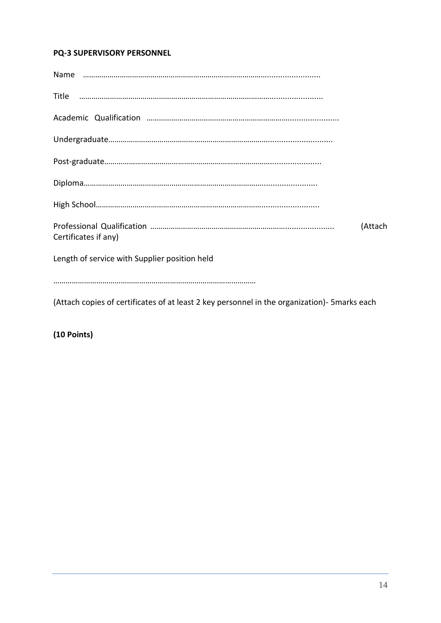# **PQ-3 SUPERVISORY PERSONNEL**

| Certificates if any)                          | (Attach |
|-----------------------------------------------|---------|
| Length of service with Supplier position held |         |
|                                               |         |

(Attach copies of certificates of at least 2 key personnel in the organization)- 5marks each

**(10 Points)**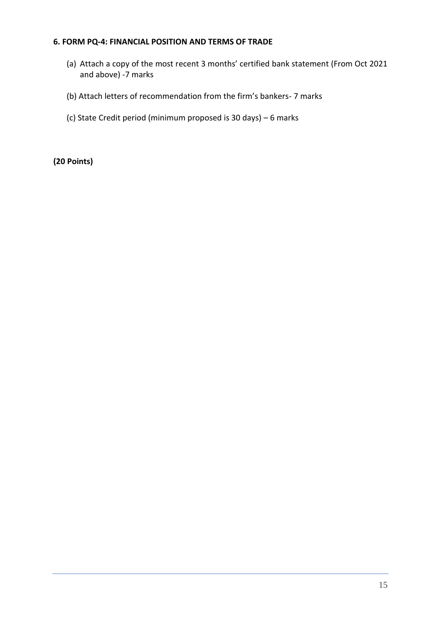#### **6. FORM PQ-4: FINANCIAL POSITION AND TERMS OF TRADE**

- (a) Attach a copy of the most recent 3 months' certified bank statement (From Oct 2021 and above) -7 marks
- (b) Attach letters of recommendation from the firm's bankers- 7 marks
- (c) State Credit period (minimum proposed is 30 days) 6 marks

**(20 Points)**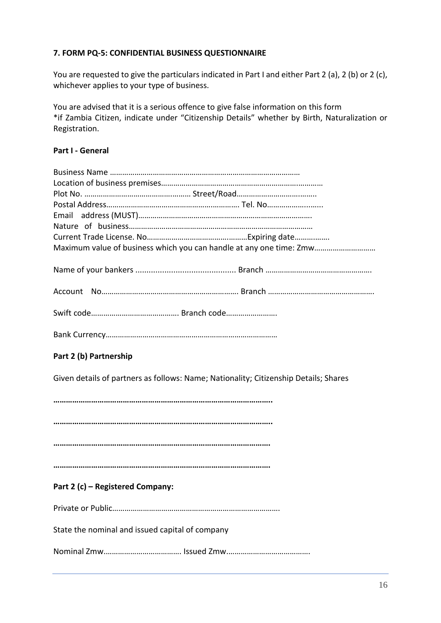# **7. FORM PQ-5: CONFIDENTIAL BUSINESS QUESTIONNAIRE**

You are requested to give the particulars indicated in Part I and either Part 2 (a), 2 (b) or 2 (c), whichever applies to your type of business.

You are advised that it is a serious offence to give false information on this form \*if Zambia Citizen, indicate under "Citizenship Details" whether by Birth, Naturalization or Registration.

# **Part I - General**

| Maximum value of business which you can handle at any one time: Zmw |
|---------------------------------------------------------------------|
|                                                                     |
|                                                                     |
|                                                                     |
|                                                                     |

# **Part 2 (b) Partnership**

Given details of partners as follows: Name; Nationality; Citizenship Details; Shares

**………………………………………………………………………………………….. ………………………………………………………………………………………….. …………………………………………………………………………………………. ………………………………………………………………………………………….** 

# **Part 2 (c) – Registered Company:**

Private or Public……………………………………………………………………….

State the nominal and issued capital of company

Nominal Zmw.………………………………. Issued Zmw.………………………………….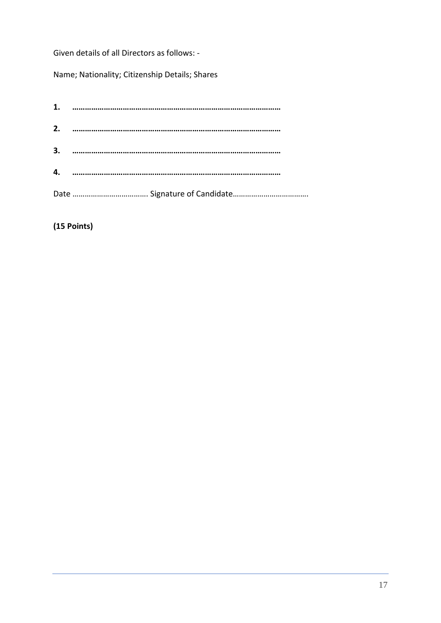Given details of all Directors as follows: -

Name; Nationality; Citizenship Details; Shares

| 1. |  |
|----|--|
| 2. |  |
| 3. |  |
| 4. |  |
|    |  |

**(15 Points)**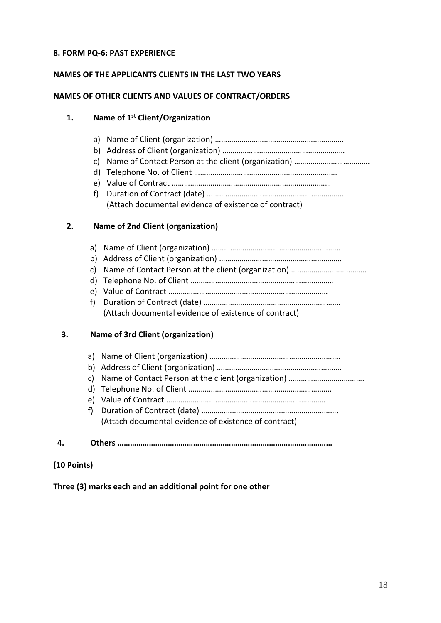# **8. FORM PQ-6: PAST EXPERIENCE**

## **NAMES OF THE APPLICANTS CLIENTS IN THE LAST TWO YEARS**

#### **NAMES OF OTHER CLIENTS AND VALUES OF CONTRACT/ORDERS**

## **1. Name of 1st Client/Organization**

- a) Name of Client (organization) ………………………………………………………
- b) Address of Client (organization) ……………………………………………………
- c) Name of Contact Person at the client (organization) ……………………………….
- d) Telephone No. of Client …………………………………………………………….
- e) Value of Contract ……………………………………………………………………
- f) Duration of Contract (date) …………………………………………………………. (Attach documental evidence of existence of contract)

# **2. Name of 2nd Client (organization)**

- a) Name of Client (organization) ……………………………………………………… b) Address of Client (organization) …………………………………………………… c) Name of Contact Person at the client (organization) ………………………………. d) Telephone No. of Client ……………………………………………………………. e) Value of Contract ……………………………………………………………………
- f) Duration of Contract (date) …………………………………………………………. (Attach documental evidence of existence of contract)

# **3. Name of 3rd Client (organization)**

| C) |  |
|----|--|
|    |  |

# **(10 Points)**

**Three (3) marks each and an additional point for one other**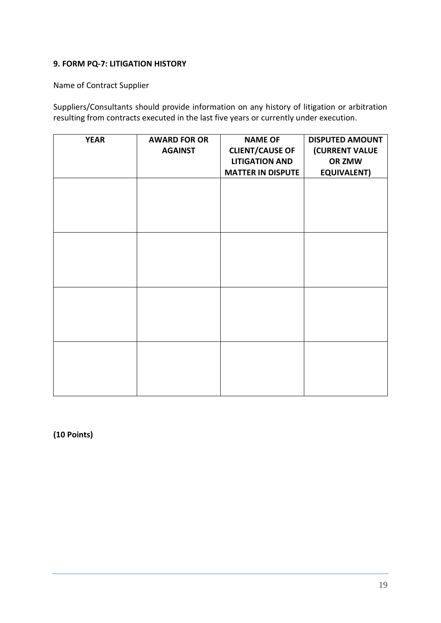# **9. FORM PQ-7: LITIGATION HISTORY**

Name of Contract Supplier

Suppliers/Consultants should provide information on any history of litigation or arbitration resulting from contracts executed in the last five years or currently under execution.

| <b>YEAR</b> | <b>AWARD FOR OR</b><br><b>AGAINST</b> | <b>NAME OF</b><br><b>CLIENT/CAUSE OF</b><br><b>LITIGATION AND</b><br><b>MATTER IN DISPUTE</b> | <b>DISPUTED AMOUNT</b><br>(CURRENT VALUE<br>OR ZMW<br><b>EQUIVALENT)</b> |
|-------------|---------------------------------------|-----------------------------------------------------------------------------------------------|--------------------------------------------------------------------------|
|             |                                       |                                                                                               |                                                                          |
|             |                                       |                                                                                               |                                                                          |
|             |                                       |                                                                                               |                                                                          |
|             |                                       |                                                                                               |                                                                          |
|             |                                       |                                                                                               |                                                                          |

**(10 Points)**